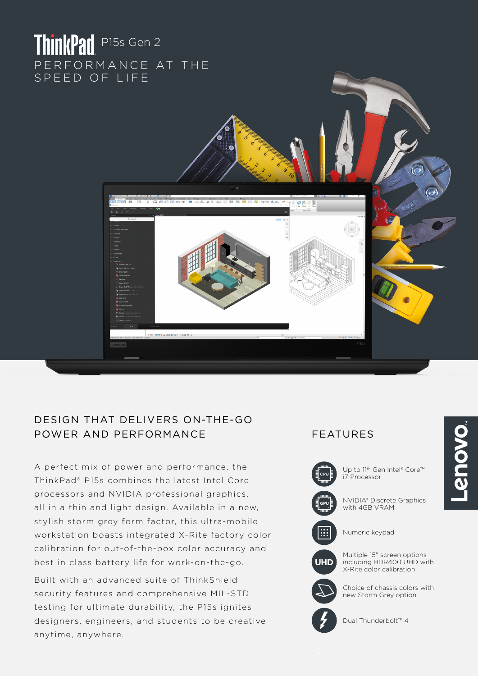# ThinkPad P15s Gen 2 PERFORMANCE AT THE SPEED OF LIFE



# DESIGN THAT DELIVERS ON-THE-GO POWER AND PERFORMANCE FEATURES

A perfect mix of power and performance, the ThinkPad® P15s combines the latest Intel Core processors and NVIDIA professional graphics, all in a thin and light design. Available in a new, stylish storm grey form factor, this ultra-mobile workstation boasts integrated X-Rite factory color calibration for out-of-the-box color accuracy and best in class battery life for work-on-the-go.

Built with an advanced suite of ThinkShield security features and comprehensive MIL-STD testing for ultimate durability, the P15s ignites designers, engineers, and students to be creative anytime, anywhere.



Up to 11th Gen Intel® Core™ i7 Processor



**UHD**

NVIDIA® Discrete Graphics with 4GB VRAM



Multiple 15" screen options

including HDR400 UHD with X-Rite color calibration

Choice of chassis colors with new Storm Grey option



Dual Thunderbolt™ 4